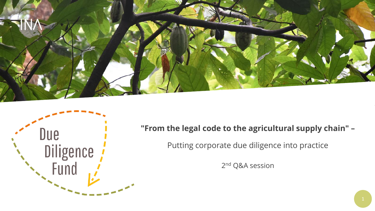



**"From the legal code to the agricultural supply chain" –**

Putting corporate due diligence into practice

2<sup>nd</sup> Q&A session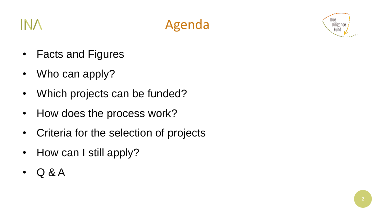



- Facts and Figures
- Who can apply?
- Which projects can be funded?
- How does the process work?
- Criteria for the selection of projects
- How can I still apply?
- Q & A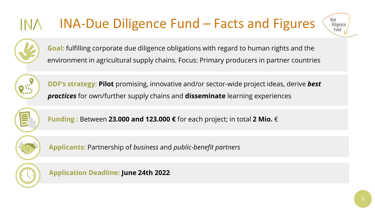## INA-Due Diligence Fund – Facts and Figures



**Goal:** fulfilling corporate due diligence obligations with regard to human rights and the environment in agricultural supply chains. Focus: Primary producers in partner countries



**DDF's strategy: Pilot** promising, innovative and/or sector-wide project ideas, derive *best practices* for own/further supply chains and **disseminate** learning experiences



**Funding :** Between **23.000 and 123.000 €** for each project; in total **2 Mio.** €



**Applicants:** Partnership of *business* and *public-benefit partners*



**Application Deadline: June 24th 2022**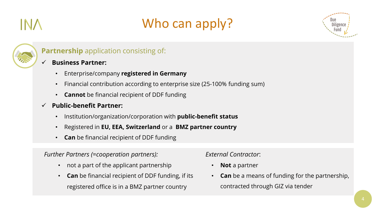## Who can apply?





#### **Partnership** application consisting of:

#### ✓ **Business Partner:**

- Enterprise/company **registered in Germany**
- Financial contribution according to enterprise size (25-100% funding sum)
- **Cannot** be financial recipient of DDF funding
- ✓ **Public-benefit Partner:** 
	- Institution/organization/corporation with **public-benefit status**
	- Registered in **EU, EEA, Switzerland** or a **BMZ partner country**
	- **Can** be financial recipient of DDF funding

#### *Further Partners (=cooperation partners):*

- not a part of the applicant partnership
- **Can** be financial recipient of DDF funding, if its registered office is in a BMZ partner country

*External Contractor*:

- **Not** a partner
- **Can** be a means of funding for the partnership, contracted through GIZ via tender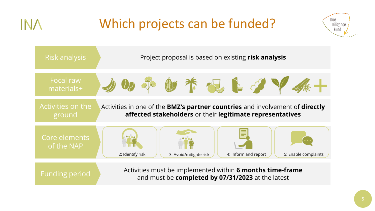## Which projects can be funded?

IN A



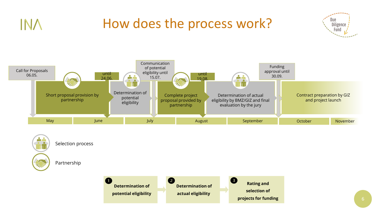## How does the process work?

**INA** 





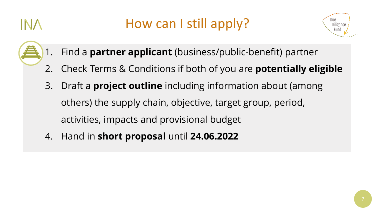## How can I still apply?



- 1. Find a **partner applicant** (business/public-benefit) partner
- 2. Check Terms & Conditions if both of you are **potentially eligible**
- 3. Draft a **project outline** including information about (among others) the supply chain, objective, target group, period, activities, impacts and provisional budget
- 4. Hand in **short proposal** until **24.06.2022**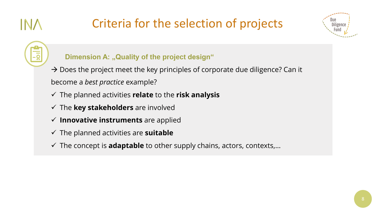# NZ

### Criteria for the selection of projects



#### **Dimension A: "Quality of the project design"**

 $\rightarrow$  Does the project meet the key principles of corporate due diligence? Can it become a *best practice* example?

- ✓ The planned activities **relate** to the **risk analysis**
- ✓ The **key stakeholders** are involved
- ✓ **Innovative instruments** are applied
- ✓ The planned activities are **suitable**
- ✓ The concept is **adaptable** to other supply chains, actors, contexts,…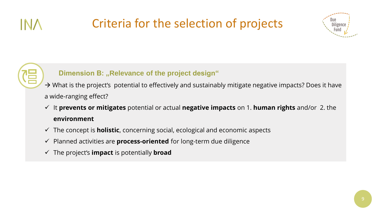### Criteria for the selection of projects





#### **Dimension B: "Relevance of the project design"**

→ What is the project's potential to effectively and sustainably mitigate negative impacts? Does it have a wide-ranging effect?

- ✓ It **prevents or mitigates** potential or actual **negative impacts** on 1. **human rights** and/or 2. the **environment**
- ✓ The concept is **holistic**, concerning social, ecological and economic aspects
- ✓ Planned activities are **process-oriented** for long-term due diligence
- ✓ The project's **impact** is potentially **broad**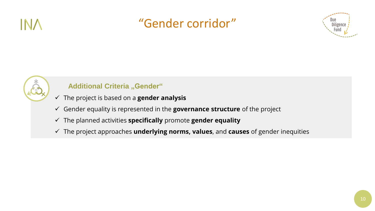

#### "Gender corridor"





#### **Additional Criteria** "Gender"

- ✓ The project is based on a **gender analysis**
- ✓ Gender equality is represented in the **governance structure** of the project
- ✓ The planned activities **specifically** promote **gender equality**
- ✓ The project approaches **underlying norms, values**, and **causes** of gender inequities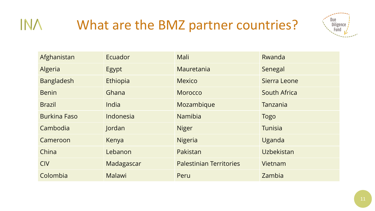

| Afghanistan         | Ecuador    | Mali                           | Rwanda       |
|---------------------|------------|--------------------------------|--------------|
| Algeria             | Egypt      | Mauretania                     | Senegal      |
| <b>Bangladesh</b>   | Ethiopia   | <b>Mexico</b>                  | Sierra Leone |
| <b>Benin</b>        | Ghana      | Morocco                        | South Africa |
| <b>Brazil</b>       | India      | Mozambique                     | Tanzania     |
| <b>Burkina Faso</b> | Indonesia  | <b>Namibia</b>                 | <b>Togo</b>  |
| Cambodia            | Jordan     | <b>Niger</b>                   | Tunisia      |
| Cameroon            | Kenya      | Nigeria                        | Uganda       |
| China               | Lebanon    | Pakistan                       | Uzbekistan   |
| <b>CIV</b>          | Madagascar | <b>Palestinian Territories</b> | Vietnam      |
| Colombia            | Malawi     | Peru                           | Zambia       |